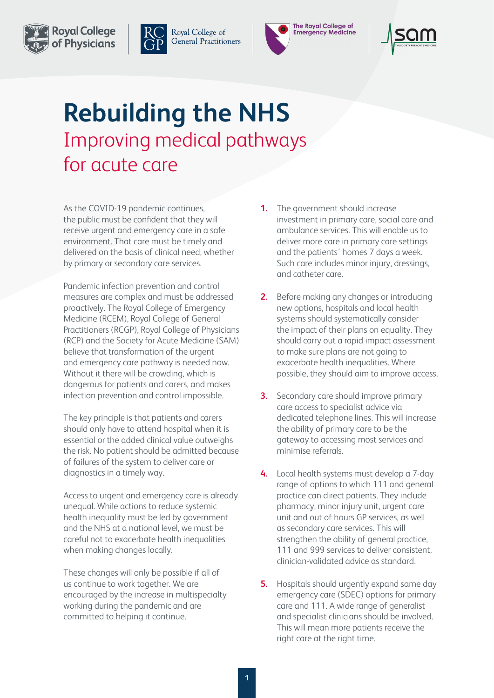



Royal College of **General Practitioners** 



## **Rebuilding the NHS**  Improving medical pathways for acute care

As the COVID-19 pandemic continues, the public must be confident that they will receive urgent and emergency care in a safe environment. That care must be timely and delivered on the basis of clinical need, whether by primary or secondary care services.

Pandemic infection prevention and control measures are complex and must be addressed proactively. The Royal College of Emergency Medicine (RCEM), Royal College of General Practitioners (RCGP), Royal College of Physicians (RCP) and the Society for Acute Medicine (SAM) believe that transformation of the urgent and emergency care pathway is needed now. Without it there will be crowding, which is dangerous for patients and carers, and makes infection prevention and control impossible.

The key principle is that patients and carers should only have to attend hospital when it is essential or the added clinical value outweighs the risk. No patient should be admitted because of failures of the system to deliver care or diagnostics in a timely way.

Access to urgent and emergency care is already unequal. While actions to reduce systemic health inequality must be led by government and the NHS at a national level, we must be careful not to exacerbate health inequalities when making changes locally.

These changes will only be possible if all of us continue to work together. We are encouraged by the increase in multispecialty working during the pandemic and are committed to helping it continue.

- **1.** The government should increase investment in primary care, social care and ambulance services. This will enable us to deliver more care in primary care settings and the patients' homes 7 days a week. Such care includes minor injury, dressings, and catheter care.
- **2.** Before making any changes or introducing new options, hospitals and local health systems should systematically consider the impact of their plans on equality. They should carry out a rapid impact assessment to make sure plans are not going to exacerbate health inequalities. Where possible, they should aim to improve access.
- **3.** Secondary care should improve primary care access to specialist advice via dedicated telephone lines. This will increase the ability of primary care to be the gateway to accessing most services and minimise referrals.
- **4.** Local health systems must develop a 7-day range of options to which 111 and general practice can direct patients. They include pharmacy, minor injury unit, urgent care unit and out of hours GP services, as well as secondary care services. This will strengthen the ability of general practice, 111 and 999 services to deliver consistent, clinician-validated advice as standard.
- **5.** Hospitals should urgently expand same day emergency care (SDEC) options for primary care and 111. A wide range of generalist and specialist clinicians should be involved. This will mean more patients receive the right care at the right time.